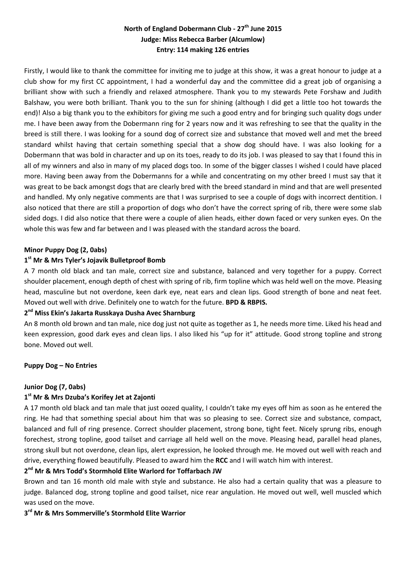# **North of England Dobermann Club - 27th June 2015 Judge: Miss Rebecca Barber (Alcumlow) Entry: 114 making 126 entries**

Firstly, I would like to thank the committee for inviting me to judge at this show, it was a great honour to judge at a club show for my first CC appointment, I had a wonderful day and the committee did a great job of organising a brilliant show with such a friendly and relaxed atmosphere. Thank you to my stewards Pete Forshaw and Judith Balshaw, you were both brilliant. Thank you to the sun for shining (although I did get a little too hot towards the end)! Also a big thank you to the exhibitors for giving me such a good entry and for bringing such quality dogs under me. I have been away from the Dobermann ring for 2 years now and it was refreshing to see that the quality in the breed is still there. I was looking for a sound dog of correct size and substance that moved well and met the breed standard whilst having that certain something special that a show dog should have. I was also looking for a Dobermann that was bold in character and up on its toes, ready to do its job. I was pleased to say that I found this in all of my winners and also in many of my placed dogs too. In some of the bigger classes I wished I could have placed more. Having been away from the Dobermanns for a while and concentrating on my other breed I must say that it was great to be back amongst dogs that are clearly bred with the breed standard in mind and that are well presented and handled. My only negative comments are that I was surprised to see a couple of dogs with incorrect dentition. I also noticed that there are still a proportion of dogs who don't have the correct spring of rib, there were some slab sided dogs. I did also notice that there were a couple of alien heads, either down faced or very sunken eyes. On the whole this was few and far between and I was pleased with the standard across the board.

#### **Minor Puppy Dog (2, 0abs)**

#### **1 st Mr & Mrs Tyler's Jojavik Bulletproof Bomb**

A 7 month old black and tan male, correct size and substance, balanced and very together for a puppy. Correct shoulder placement, enough depth of chest with spring of rib, firm topline which was held well on the move. Pleasing head, masculine but not overdone, keen dark eye, neat ears and clean lips. Good strength of bone and neat feet. Moved out well with drive. Definitely one to watch for the future. **BPD & RBPIS.**

#### **2 nd Miss Ekin's Jakarta Russkaya Dusha Avec Sharnburg**

An 8 month old brown and tan male, nice dog just not quite as together as 1, he needs more time. Liked his head and keen expression, good dark eyes and clean lips. I also liked his "up for it" attitude. Good strong topline and strong bone. Moved out well.

#### **Puppy Dog – No Entries**

#### **Junior Dog (7, 0abs)**

# **1 st Mr & Mrs Dzuba's Korifey Jet at Zajonti**

A 17 month old black and tan male that just oozed quality, I couldn't take my eyes off him as soon as he entered the ring. He had that something special about him that was so pleasing to see. Correct size and substance, compact, balanced and full of ring presence. Correct shoulder placement, strong bone, tight feet. Nicely sprung ribs, enough forechest, strong topline, good tailset and carriage all held well on the move. Pleasing head, parallel head planes, strong skull but not overdone, clean lips, alert expression, he looked through me. He moved out well with reach and drive, everything flowed beautifully. Pleased to award him the **RCC** and I will watch him with interest.

# **2 nd Mr & Mrs Todd's Stormhold Elite Warlord for Toffarbach JW**

Brown and tan 16 month old male with style and substance. He also had a certain quality that was a pleasure to judge. Balanced dog, strong topline and good tailset, nice rear angulation. He moved out well, well muscled which was used on the move.

## **3 rd Mr & Mrs Sommerville's Stormhold Elite Warrior**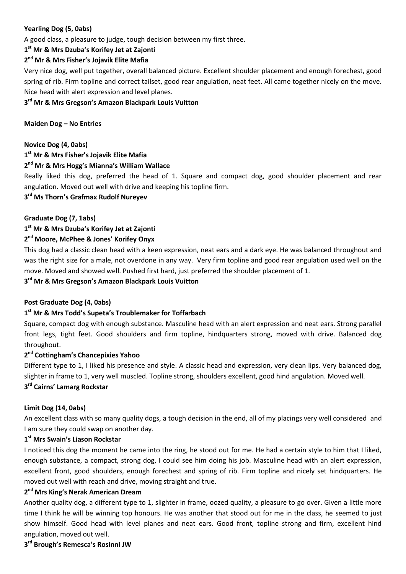# **Yearling Dog (5, 0abs)**

A good class, a pleasure to judge, tough decision between my first three.

#### **1 st Mr & Mrs Dzuba's Korifey Jet at Zajonti**

## **2 nd Mr & Mrs Fisher's Jojavik Elite Mafia**

Very nice dog, well put together, overall balanced picture. Excellent shoulder placement and enough forechest, good spring of rib. Firm topline and correct tailset, good rear angulation, neat feet. All came together nicely on the move. Nice head with alert expression and level planes.

# **3 rd Mr & Mrs Gregson's Amazon Blackpark Louis Vuitton**

#### **Maiden Dog – No Entries**

#### **Novice Dog (4, 0abs)**

# **1 st Mr & Mrs Fisher's Jojavik Elite Mafia**

## **2 nd Mr & Mrs Hogg's Mianna's William Wallace**

Really liked this dog, preferred the head of 1. Square and compact dog, good shoulder placement and rear angulation. Moved out well with drive and keeping his topline firm.

#### **3 rd Ms Thorn's Grafmax Rudolf Nureyev**

#### **Graduate Dog (7, 1abs)**

# **1 st Mr & Mrs Dzuba's Korifey Jet at Zajonti**

# **2 nd Moore, McPhee & Jones' Korifey Onyx**

This dog had a classic clean head with a keen expression, neat ears and a dark eye. He was balanced throughout and was the right size for a male, not overdone in any way. Very firm topline and good rear angulation used well on the move. Moved and showed well. Pushed first hard, just preferred the shoulder placement of 1.

#### **3 rd Mr & Mrs Gregson's Amazon Blackpark Louis Vuitton**

#### **Post Graduate Dog (4, 0abs)**

## **1 st Mr & Mrs Todd's Supeta's Troublemaker for Toffarbach**

Square, compact dog with enough substance. Masculine head with an alert expression and neat ears. Strong parallel front legs, tight feet. Good shoulders and firm topline, hindquarters strong, moved with drive. Balanced dog throughout.

#### **2 nd Cottingham's Chancepixies Yahoo**

Different type to 1, I liked his presence and style. A classic head and expression, very clean lips. Very balanced dog, slighter in frame to 1, very well muscled. Topline strong, shoulders excellent, good hind angulation. Moved well.

# **3 rd Cairns' Lamarg Rockstar**

#### **Limit Dog (14, 0abs)**

An excellent class with so many quality dogs, a tough decision in the end, all of my placings very well considered and I am sure they could swap on another day.

#### **1 st Mrs Swain's Liason Rockstar**

I noticed this dog the moment he came into the ring, he stood out for me. He had a certain style to him that I liked, enough substance, a compact, strong dog, I could see him doing his job. Masculine head with an alert expression, excellent front, good shoulders, enough forechest and spring of rib. Firm topline and nicely set hindquarters. He moved out well with reach and drive, moving straight and true.

# **2 nd Mrs King's Nerak American Dream**

Another quality dog, a different type to 1, slighter in frame, oozed quality, a pleasure to go over. Given a little more time I think he will be winning top honours. He was another that stood out for me in the class, he seemed to just show himself. Good head with level planes and neat ears. Good front, topline strong and firm, excellent hind angulation, moved out well.

#### **3 rd Brough's Remesca's Rosinni JW**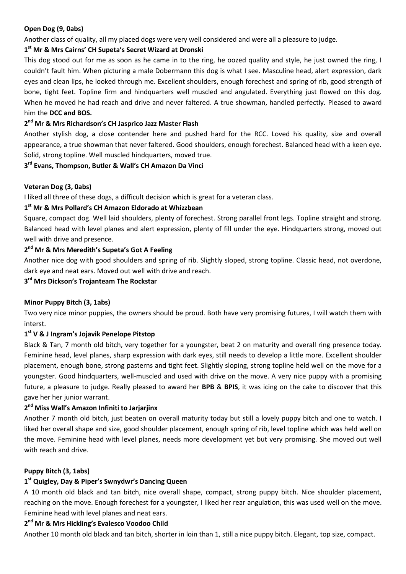#### **Open Dog (9, 0abs)**

Another class of quality, all my placed dogs were very well considered and were all a pleasure to judge.

# **1 st Mr & Mrs Cairns' CH Supeta's Secret Wizard at Dronski**

This dog stood out for me as soon as he came in to the ring, he oozed quality and style, he just owned the ring, I couldn't fault him. When picturing a male Dobermann this dog is what I see. Masculine head, alert expression, dark eyes and clean lips, he looked through me. Excellent shoulders, enough forechest and spring of rib, good strength of bone, tight feet. Topline firm and hindquarters well muscled and angulated. Everything just flowed on this dog. When he moved he had reach and drive and never faltered. A true showman, handled perfectly. Pleased to award him the **DCC and BOS.**

# **2 nd Mr & Mrs Richardson's CH Jasprico Jazz Master Flash**

Another stylish dog, a close contender here and pushed hard for the RCC. Loved his quality, size and overall appearance, a true showman that never faltered. Good shoulders, enough forechest. Balanced head with a keen eye. Solid, strong topline. Well muscled hindquarters, moved true.

## **3 rd Evans, Thompson, Butler & Wall's CH Amazon Da Vinci**

#### **Veteran Dog (3, 0abs)**

I liked all three of these dogs, a difficult decision which is great for a veteran class.

## **1 st Mr & Mrs Pollard's CH Amazon Eldorado at Whizzbean**

Square, compact dog. Well laid shoulders, plenty of forechest. Strong parallel front legs. Topline straight and strong. Balanced head with level planes and alert expression, plenty of fill under the eye. Hindquarters strong, moved out well with drive and presence.

## **2 nd Mr & Mrs Meredith's Supeta's Got A Feeling**

Another nice dog with good shoulders and spring of rib. Slightly sloped, strong topline. Classic head, not overdone, dark eye and neat ears. Moved out well with drive and reach.

**3 rd Mrs Dickson's Trojanteam The Rockstar**

#### **Minor Puppy Bitch (3, 1abs)**

Two very nice minor puppies, the owners should be proud. Both have very promising futures, I will watch them with interst.

#### **1 st V & J Ingram's Jojavik Penelope Pitstop**

Black & Tan, 7 month old bitch, very together for a youngster, beat 2 on maturity and overall ring presence today. Feminine head, level planes, sharp expression with dark eyes, still needs to develop a little more. Excellent shoulder placement, enough bone, strong pasterns and tight feet. Slightly sloping, strong topline held well on the move for a youngster. Good hindquarters, well-muscled and used with drive on the move. A very nice puppy with a promising future, a pleasure to judge. Really pleased to award her **BPB** & **BPIS**, it was icing on the cake to discover that this gave her her junior warrant.

#### **2 nd Miss Wall's Amazon Infiniti to Jarjarjinx**

Another 7 month old bitch, just beaten on overall maturity today but still a lovely puppy bitch and one to watch. I liked her overall shape and size, good shoulder placement, enough spring of rib, level topline which was held well on the move. Feminine head with level planes, needs more development yet but very promising. She moved out well with reach and drive.

#### **Puppy Bitch (3, 1abs)**

#### **1 st Quigley, Day & Piper's Swnydwr's Dancing Queen**

A 10 month old black and tan bitch, nice overall shape, compact, strong puppy bitch. Nice shoulder placement, reaching on the move. Enough forechest for a youngster, I liked her rear angulation, this was used well on the move. Feminine head with level planes and neat ears.

#### **2 nd Mr & Mrs Hickling's Evalesco Voodoo Child**

Another 10 month old black and tan bitch, shorter in loin than 1, still a nice puppy bitch. Elegant, top size, compact.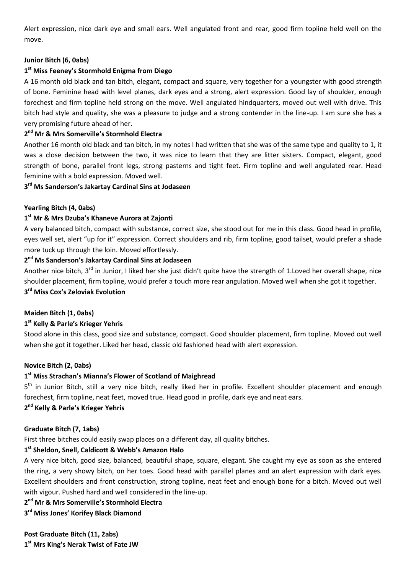Alert expression, nice dark eye and small ears. Well angulated front and rear, good firm topline held well on the move.

#### **Junior Bitch (6, 0abs)**

#### **1 st Miss Feeney's Stormhold Enigma from Diego**

A 16 month old black and tan bitch, elegant, compact and square, very together for a youngster with good strength of bone. Feminine head with level planes, dark eyes and a strong, alert expression. Good lay of shoulder, enough forechest and firm topline held strong on the move. Well angulated hindquarters, moved out well with drive. This bitch had style and quality, she was a pleasure to judge and a strong contender in the line-up. I am sure she has a very promising future ahead of her.

## **2 nd Mr & Mrs Somerville's Stormhold Electra**

Another 16 month old black and tan bitch, in my notes I had written that she was of the same type and quality to 1, it was a close decision between the two, it was nice to learn that they are litter sisters. Compact, elegant, good strength of bone, parallel front legs, strong pasterns and tight feet. Firm topline and well angulated rear. Head feminine with a bold expression. Moved well.

#### **3 rd Ms Sanderson's Jakartay Cardinal Sins at Jodaseen**

#### **Yearling Bitch (4, 0abs)**

#### **1 st Mr & Mrs Dzuba's Khaneve Aurora at Zajonti**

A very balanced bitch, compact with substance, correct size, she stood out for me in this class. Good head in profile, eyes well set, alert "up for it" expression. Correct shoulders and rib, firm topline, good tailset, would prefer a shade more tuck up through the loin. Moved effortlessly.

#### **2 nd Ms Sanderson's Jakartay Cardinal Sins at Jodaseen**

Another nice bitch, 3<sup>rd</sup> in Junior, I liked her she just didn't quite have the strength of 1.Loved her overall shape, nice shoulder placement, firm topline, would prefer a touch more rear angulation. Moved well when she got it together. **3 rd Miss Cox's Zeloviak Evolution**

#### **Maiden Bitch (1, 0abs)**

#### **1 st Kelly & Parle's Krieger Yehris**

Stood alone in this class, good size and substance, compact. Good shoulder placement, firm topline. Moved out well when she got it together. Liked her head, classic old fashioned head with alert expression.

#### **Novice Bitch (2, 0abs)**

# **1 st Miss Strachan's Mianna's Flower of Scotland of Maighread**

5<sup>th</sup> in Junior Bitch, still a very nice bitch, really liked her in profile. Excellent shoulder placement and enough forechest, firm topline, neat feet, moved true. Head good in profile, dark eye and neat ears.

# **2 nd Kelly & Parle's Krieger Yehris**

#### **Graduate Bitch (7, 1abs)**

First three bitches could easily swap places on a different day, all quality bitches.

# **1 st Sheldon, Snell, Caldicott & Webb's Amazon Halo**

A very nice bitch, good size, balanced, beautiful shape, square, elegant. She caught my eye as soon as she entered the ring, a very showy bitch, on her toes. Good head with parallel planes and an alert expression with dark eyes. Excellent shoulders and front construction, strong topline, neat feet and enough bone for a bitch. Moved out well with vigour. Pushed hard and well considered in the line-up.

**2 nd Mr & Mrs Somerville's Stormhold Electra**

#### **3 rd Miss Jones' Korifey Black Diamond**

**Post Graduate Bitch (11, 2abs) 1 st Mrs King's Nerak Twist of Fate JW**